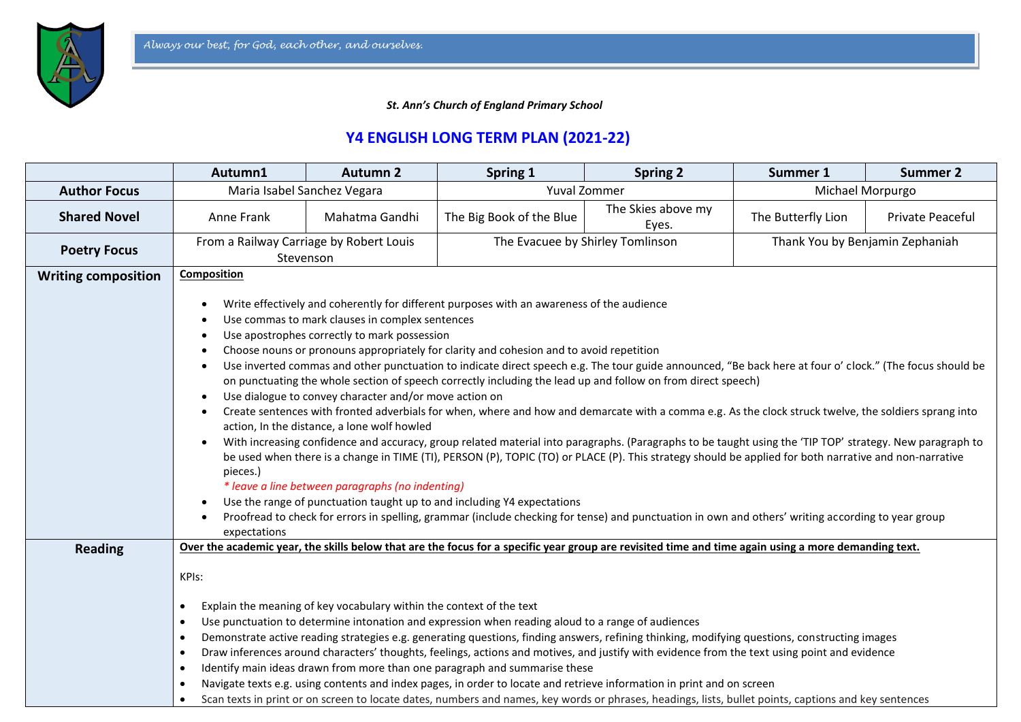*St. Ann's Church of England Primary School*

## **Y4 ENGLISH LONG TERM PLAN (2021-22)**

|                            | Autumn1                                                                                                                                                                                                                                                                                                                                                                                                                                                                                                                                                                                                                                                                                                                                                                                                                                                                                                                                                                                                                                                                                                                                                                                                                                                                                                                                                                                                                                                                                   | <b>Autumn 2</b> | Spring 1                                                                                                                                             | <b>Spring 2</b>             | Summer 1                        | <b>Summer 2</b>  |  |  |
|----------------------------|-------------------------------------------------------------------------------------------------------------------------------------------------------------------------------------------------------------------------------------------------------------------------------------------------------------------------------------------------------------------------------------------------------------------------------------------------------------------------------------------------------------------------------------------------------------------------------------------------------------------------------------------------------------------------------------------------------------------------------------------------------------------------------------------------------------------------------------------------------------------------------------------------------------------------------------------------------------------------------------------------------------------------------------------------------------------------------------------------------------------------------------------------------------------------------------------------------------------------------------------------------------------------------------------------------------------------------------------------------------------------------------------------------------------------------------------------------------------------------------------|-----------------|------------------------------------------------------------------------------------------------------------------------------------------------------|-----------------------------|---------------------------------|------------------|--|--|
| <b>Author Focus</b>        | Maria Isabel Sanchez Vegara                                                                                                                                                                                                                                                                                                                                                                                                                                                                                                                                                                                                                                                                                                                                                                                                                                                                                                                                                                                                                                                                                                                                                                                                                                                                                                                                                                                                                                                               |                 |                                                                                                                                                      | Yuval Zommer                |                                 | Michael Morpurgo |  |  |
| <b>Shared Novel</b>        | Anne Frank                                                                                                                                                                                                                                                                                                                                                                                                                                                                                                                                                                                                                                                                                                                                                                                                                                                                                                                                                                                                                                                                                                                                                                                                                                                                                                                                                                                                                                                                                | Mahatma Gandhi  | The Big Book of the Blue                                                                                                                             | The Skies above my<br>Eyes. | The Butterfly Lion              | Private Peaceful |  |  |
| <b>Poetry Focus</b>        | From a Railway Carriage by Robert Louis<br>Stevenson                                                                                                                                                                                                                                                                                                                                                                                                                                                                                                                                                                                                                                                                                                                                                                                                                                                                                                                                                                                                                                                                                                                                                                                                                                                                                                                                                                                                                                      |                 | The Evacuee by Shirley Tomlinson                                                                                                                     |                             | Thank You by Benjamin Zephaniah |                  |  |  |
| <b>Writing composition</b> | <b>Composition</b>                                                                                                                                                                                                                                                                                                                                                                                                                                                                                                                                                                                                                                                                                                                                                                                                                                                                                                                                                                                                                                                                                                                                                                                                                                                                                                                                                                                                                                                                        |                 |                                                                                                                                                      |                             |                                 |                  |  |  |
| <b>Reading</b>             | Write effectively and coherently for different purposes with an awareness of the audience<br>Use commas to mark clauses in complex sentences<br>Use apostrophes correctly to mark possession<br>Choose nouns or pronouns appropriately for clarity and cohesion and to avoid repetition<br>Use inverted commas and other punctuation to indicate direct speech e.g. The tour guide announced, "Be back here at four o' clock." (The focus should be<br>on punctuating the whole section of speech correctly including the lead up and follow on from direct speech)<br>Use dialogue to convey character and/or move action on<br>Create sentences with fronted adverbials for when, where and how and demarcate with a comma e.g. As the clock struck twelve, the soldiers sprang into<br>$\bullet$<br>action, In the distance, a lone wolf howled<br>With increasing confidence and accuracy, group related material into paragraphs. (Paragraphs to be taught using the 'TIP TOP' strategy. New paragraph to<br>be used when there is a change in TIME (TI), PERSON (P), TOPIC (TO) or PLACE (P). This strategy should be applied for both narrative and non-narrative<br>pieces.)<br>* leave a line between paragraphs (no indenting)<br>Use the range of punctuation taught up to and including Y4 expectations<br>Proofread to check for errors in spelling, grammar (include checking for tense) and punctuation in own and others' writing according to year group<br>expectations |                 |                                                                                                                                                      |                             |                                 |                  |  |  |
|                            | KPIs:                                                                                                                                                                                                                                                                                                                                                                                                                                                                                                                                                                                                                                                                                                                                                                                                                                                                                                                                                                                                                                                                                                                                                                                                                                                                                                                                                                                                                                                                                     |                 | Over the academic year, the skills below that are the focus for a specific year group are revisited time and time again using a more demanding text. |                             |                                 |                  |  |  |
|                            | Explain the meaning of key vocabulary within the context of the text<br>$\bullet$<br>Use punctuation to determine intonation and expression when reading aloud to a range of audiences<br>$\bullet$<br>Demonstrate active reading strategies e.g. generating questions, finding answers, refining thinking, modifying questions, constructing images<br>$\bullet$<br>Draw inferences around characters' thoughts, feelings, actions and motives, and justify with evidence from the text using point and evidence<br>$\bullet$<br>Identify main ideas drawn from more than one paragraph and summarise these<br>$\bullet$<br>Navigate texts e.g. using contents and index pages, in order to locate and retrieve information in print and on screen<br>$\bullet$<br>Scan texts in print or on screen to locate dates, numbers and names, key words or phrases, headings, lists, bullet points, captions and key sentences<br>$\bullet$                                                                                                                                                                                                                                                                                                                                                                                                                                                                                                                                                    |                 |                                                                                                                                                      |                             |                                 |                  |  |  |